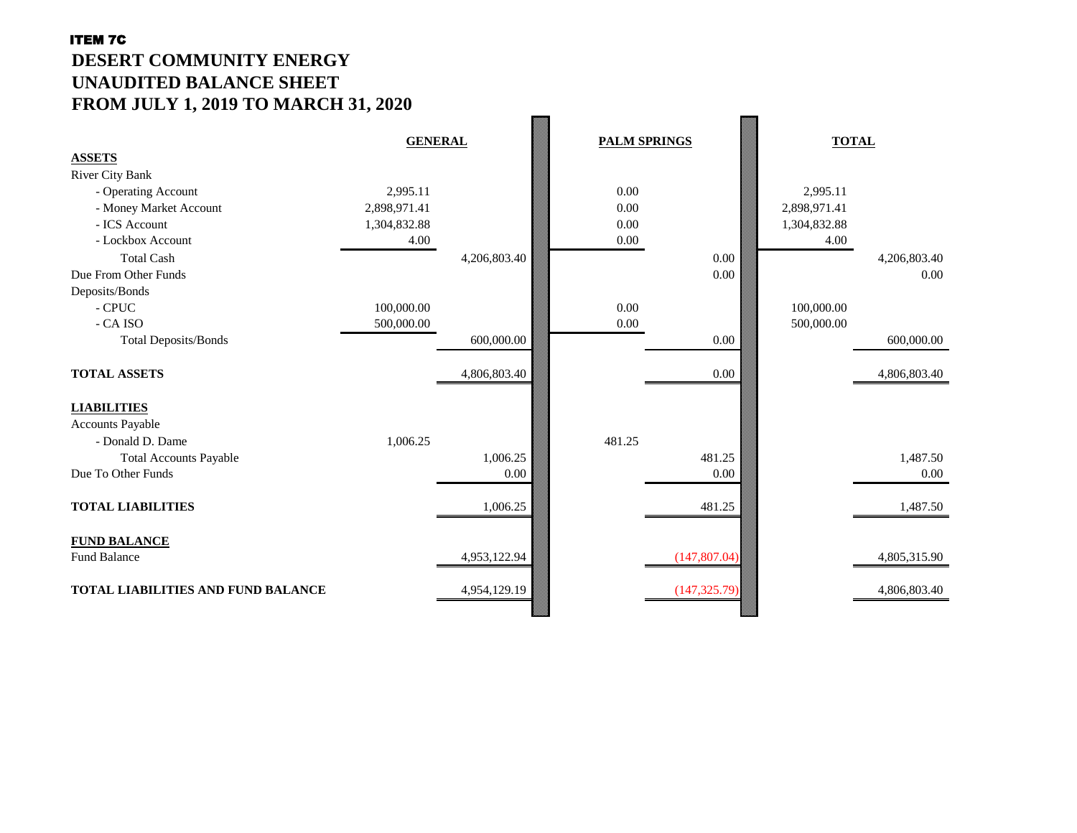# ITEM 7C **DESERT COMMUNITY ENERGY UNAUDITED BALANCE SHEET FROM JULY 1, 2019 TO MARCH 31, 2020**

|                                           | <b>GENERAL</b> |              | <b>PALM SPRINGS</b> |               | <b>TOTAL</b> |              |
|-------------------------------------------|----------------|--------------|---------------------|---------------|--------------|--------------|
| <b>ASSETS</b>                             |                |              |                     |               |              |              |
| <b>River City Bank</b>                    |                |              |                     |               |              |              |
| - Operating Account                       | 2,995.11       |              | 0.00                |               | 2,995.11     |              |
| - Money Market Account                    | 2,898,971.41   |              | 0.00                |               | 2,898,971.41 |              |
| - ICS Account                             | 1,304,832.88   |              | 0.00                |               | 1,304,832.88 |              |
| - Lockbox Account                         | 4.00           |              | 0.00                |               | 4.00         |              |
| <b>Total Cash</b>                         |                | 4,206,803.40 |                     | 0.00          |              | 4,206,803.40 |
| Due From Other Funds                      |                |              |                     | 0.00          |              | 0.00         |
| Deposits/Bonds                            |                |              |                     |               |              |              |
| - CPUC                                    | 100,000.00     |              | 0.00                |               | 100,000.00   |              |
| - CA ISO                                  | 500,000.00     |              | 0.00                |               | 500,000.00   |              |
| <b>Total Deposits/Bonds</b>               |                | 600,000.00   |                     | 0.00          |              | 600,000.00   |
|                                           |                |              |                     |               |              |              |
| <b>TOTAL ASSETS</b>                       |                | 4,806,803.40 |                     | 0.00          |              | 4,806,803.40 |
|                                           |                |              |                     |               |              |              |
| <b>LIABILITIES</b>                        |                |              |                     |               |              |              |
| <b>Accounts Payable</b>                   |                |              |                     |               |              |              |
| - Donald D. Dame                          | 1,006.25       |              | 481.25              |               |              |              |
| <b>Total Accounts Payable</b>             |                | 1,006.25     |                     | 481.25        |              | 1,487.50     |
| Due To Other Funds                        |                | 0.00         |                     | 0.00          |              | 0.00         |
|                                           |                |              |                     |               |              |              |
| <b>TOTAL LIABILITIES</b>                  |                | 1,006.25     |                     | 481.25        |              | 1,487.50     |
|                                           |                |              |                     |               |              |              |
| <b>FUND BALANCE</b>                       |                |              |                     |               |              |              |
| <b>Fund Balance</b>                       |                | 4,953,122.94 |                     | (147, 807.04) |              | 4,805,315.90 |
|                                           |                |              |                     |               |              |              |
| <b>TOTAL LIABILITIES AND FUND BALANCE</b> |                | 4,954,129.19 |                     | (147, 325.79) |              | 4,806,803.40 |
|                                           |                |              |                     |               |              |              |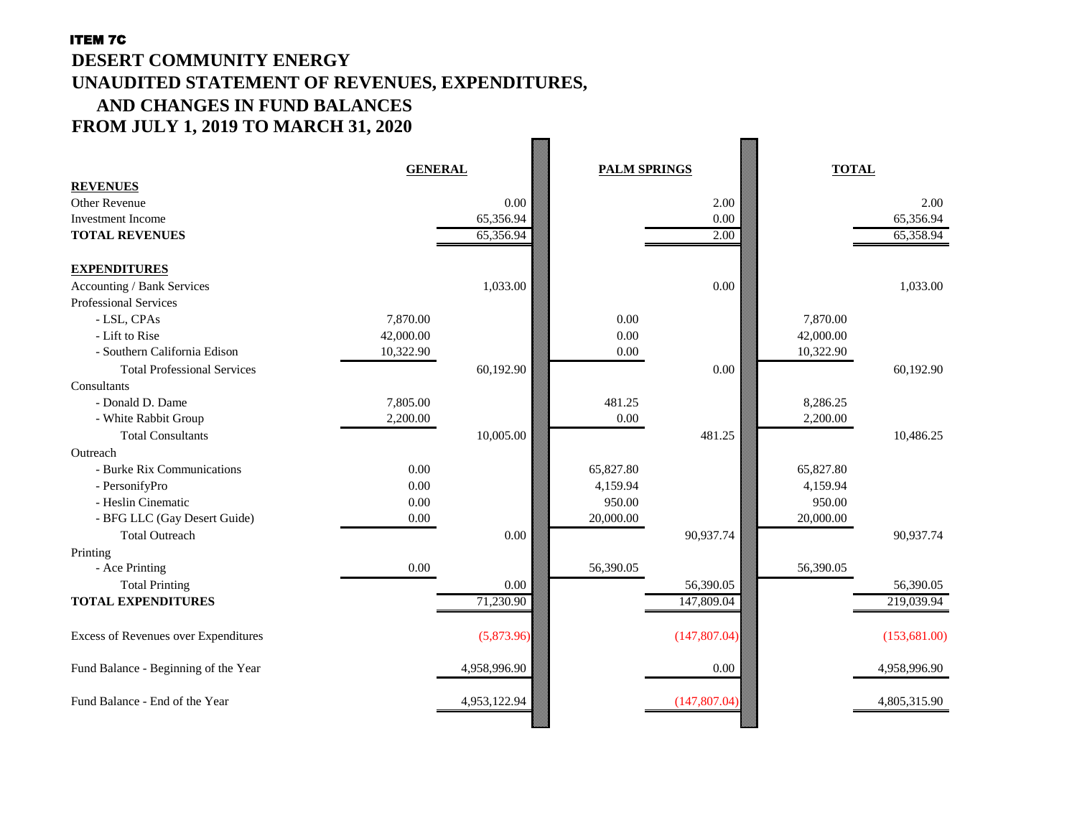#### ITEM 7C

### **DESERT COMMUNITY ENERGY UNAUDITED STATEMENT OF REVENUES, EXPENDITURES, AND CHANGES IN FUND BALANCES FROM JULY 1, 2019 TO MARCH 31, 2020**  $\overline{\phantom{a}}$

| <b>REVENUES</b>                             | <b>GENERAL</b> |              | <b>PALM SPRINGS</b> |               | <b>TOTAL</b> |        |              |
|---------------------------------------------|----------------|--------------|---------------------|---------------|--------------|--------|--------------|
| <b>Other Revenue</b>                        |                | 0.00         |                     | 2.00          |              |        | 2.00         |
| <b>Investment Income</b>                    |                | 65,356.94    |                     | 0.00          |              |        | 65,356.94    |
| <b>TOTAL REVENUES</b>                       |                | 65,356.94    |                     | 2.00          |              |        | 65,358.94    |
|                                             |                |              |                     |               |              |        |              |
| <b>EXPENDITURES</b>                         |                |              |                     |               |              |        |              |
| Accounting / Bank Services                  |                | 1,033.00     |                     | $0.00\,$      |              |        | 1,033.00     |
| <b>Professional Services</b>                |                |              |                     |               |              |        |              |
| - LSL, CPAs                                 | 7,870.00       |              | 0.00                |               | 7,870.00     |        |              |
| - Lift to Rise                              | 42,000.00      |              | 0.00                |               | 42,000.00    |        |              |
| - Southern California Edison                | 10,322.90      |              | 0.00                |               | 10,322.90    |        |              |
| <b>Total Professional Services</b>          |                | 60,192.90    |                     | $0.00\,$      |              |        | 60,192.90    |
| Consultants                                 |                |              |                     |               |              |        |              |
| - Donald D. Dame                            | 7,805.00       |              | 481.25              |               | 8,286.25     |        |              |
| - White Rabbit Group                        | 2,200.00       |              | $0.00\,$            |               | 2,200.00     |        |              |
| <b>Total Consultants</b>                    |                | 10,005.00    |                     | 481.25        |              |        | 10,486.25    |
| Outreach                                    |                |              |                     |               |              |        |              |
| - Burke Rix Communications                  | 0.00           |              | 65,827.80           |               | 65,827.80    |        |              |
| - PersonifyPro                              | 0.00           |              | 4,159.94            |               | 4,159.94     |        |              |
| - Heslin Cinematic                          | 0.00           |              | 950.00              |               |              | 950.00 |              |
| - BFG LLC (Gay Desert Guide)                | 0.00           |              | 20,000.00           |               | 20,000.00    |        |              |
| <b>Total Outreach</b>                       |                | $0.00\,$     |                     | 90,937.74     |              |        | 90,937.74    |
| Printing                                    |                |              |                     |               |              |        |              |
| - Ace Printing                              | $0.00\,$       |              | 56,390.05           |               | 56,390.05    |        |              |
| <b>Total Printing</b>                       |                | $0.00\,$     |                     | 56,390.05     |              |        | 56,390.05    |
| <b>TOTAL EXPENDITURES</b>                   |                | 71,230.90    |                     | 147,809.04    |              |        | 219,039.94   |
| <b>Excess of Revenues over Expenditures</b> |                | (5,873.96)   |                     | (147, 807.04) |              |        | (153,681.00) |
| Fund Balance - Beginning of the Year        |                | 4,958,996.90 |                     | $0.00\,$      |              |        | 4,958,996.90 |
| Fund Balance - End of the Year              |                | 4,953,122.94 |                     | (147, 807.04) |              |        | 4,805,315.90 |